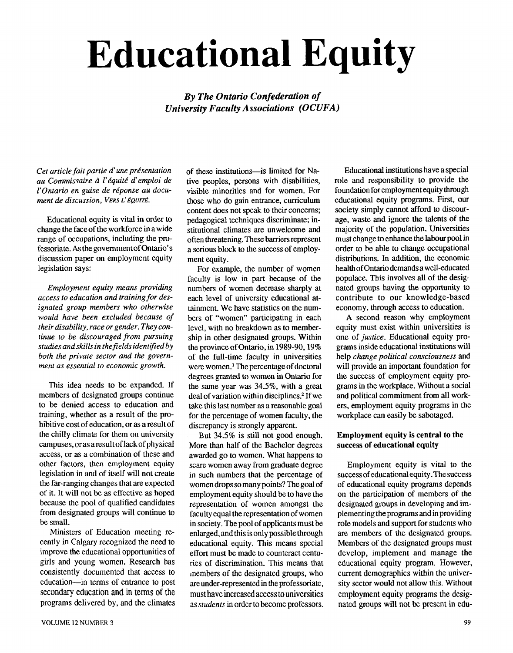# **Educational Equity**

### *By The Ontario Confederation of University Faculty Associations (OCUFA)*

Cet article fait partie d'une présentation *au Comrnissaire* **d** *I'kquitk d'emploi de l'Ontario en guise de réponse au document de discussion, VERS L'ÉQUITÉ.* 

Educational equity is vital in order to change the face of the workforce in a wide range of occupations, including the professoriate. **As** the government of Ontario's discussion paper on employment equity legislation says:

*Employment equity means providing access to education and training for designated group members who otherwise would have been excluded because of their disability, race or gender. They continue to be discouraged from pursuing studies and skills in thefields identified by both the private sector and the government as essential to economic growth.* 

This idea needs to be expanded. If members of designated groups continue to be denied access to education and training, whether as a result of the prohibitive cost of education, or **as** a result of the chilly climate for them on university campuses, oras aresultoflackofphysical access, or as a combination of these and other factors, then employment equity legislation in and of itself will not create the far-ranging changes that are expected of it. It will not be as effective as hoped because the pool of qualified candidates from designated groups will continue to be small.

Ministers of Education meeting recently in Calgary recognized the need to improve the educational opportunities of girls and young women. Research has consistently documented that access **to**  education-in terms of entrance to post secondary education and in terms of the programs delivered by, and the climates of these institutions-is limited for Native peoples, persons with disabilities, visible minorities and for women. For those who do gain entrance, curriculum content does not speak to their concerns; pedagogical techniques discriminate; institutional climates are unwelcome and often threatening. These barriersrepresent a serious block to the success of employment equity.

For example, the number of women faculty is low in part because of the numbers of women decrease sharply at each level of university educational attainment. We have statistics on the numbers of "women" participating in each level, with no breakdown **as** to membership in other designated groups. Within the province of Ontario, in 1989-90,19% of the full-time faculty in universities were women.' The percentage of doctoral degrees granted to women in Ontario for the same year was 34.5%, with a great deal of variation within disciplines.<sup>2</sup> If we take this last number as a reasonable goal for the percentage of women faculty, the discrepancy is strongly apparent.

But 34.5% is still not good enough. More than half of the Bachelor degrees awarded go to women. What happens to scare women away from graduate degree in such numbers that the percentage of women drops so many points? The goal of employment equity should be to have the representation of women amongst the faculty equal the representation of women in society. The pool of applicants must be enlarged, and this is only possiblethrough educational equity. This means special effort must be made to counteract centuries of discrimination. This means that members of the designated groups, who are under-represented in the professoriate, must have increased access to universities as *students* in order to become professors.

Educational institutions have a special role and responsibility to provide the foundation for employmentequity through educational equity programs. First, our society simply cannot afford to discourage, waste and ignore the talents of the majority of the population. Universities must change to enhance the labour pool in order to be able to change occupational distributions. In addition, the economic health of Ontario demands a well-educated populace. This involves all of the designated groups having the opportunity to contribute to our knowledge-based economy, through access to education.

A second reason why employment equity must exist within universities is one of *justice.* Educational equity programs inside educational institutions will help *change political consciousness* and will provide an important foundation for the success of employment equity programs in the workplace. Without a social and political commitment from all workers, employment equity programs in the workplace can easily be sabotaged.

#### Employment equity is central to the success of educational equity

Employment equity is vital to the success of educational equity. The success of educational equity programs depends on the participation of members of the designated groups in developing and implementing the programs and in providing role models and support for students who are members of the designated groups. Members of the designated groups must develop, implement and manage the educational equity program. However, current demographics within the university sector would not allow this. Without employment equity programs the designated groups will not be present in edu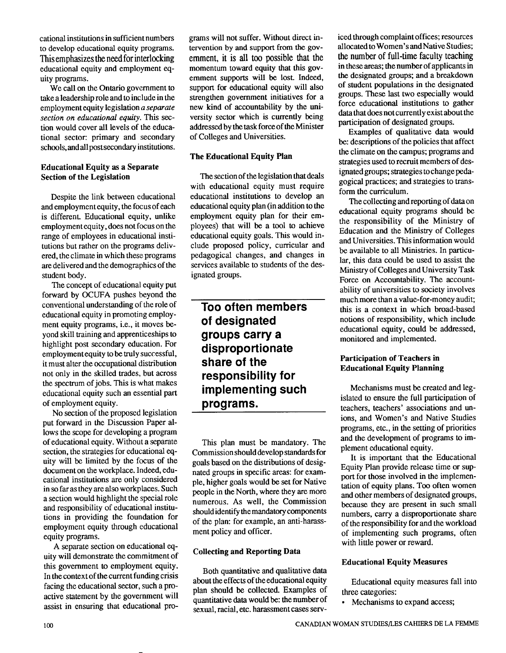cational institutions in sufficient numbers to develop educational equity programs. This emphasizes the need for interlocking educational equity and employment equity programs.

We call on the Ontario government to take a leadership role and to include in the employment equity legislation *a separate section on educational equity.* This *sec*tion would cover all levels of the educational sector: primary and secondary schools, andall post secondary institutions.

#### **Educational Equity as a Separate Section of the Legislation**

Despite the link between educational and employment equity, the focus of each is different. Educational equity, unlike employment equity, does not focus on the range of employees in educational institutions but rather on the programs delivered, the climate in which these programs are delivered and the demographics of the student body.

The concept of educational equity put forward by OCUFA pushes beyond the conventional understanding of the role of educational equity in promoting employment equity programs, i.e., it moves beyond skill training and apprenticeships to highlight post secondary education. For employmentequity tobe truly successful, it must alter the occupational distribution not only in the skilled trades, but across the spectrum of jobs. This is what makes educational equity such an essential part of employment equity.

No section of the proposed legislation put forward in the Discussion Paper allows the scope for developing a program of educational equity. Without a separate section, the strategies for educational equity will be limited by the focus of the document on the workplace. Indeed, educational institutions are only considered in so far as they are also workplaces. Such a section would highlight the special role and responsibility of educational institutions in providing the foundation for employment equity through educational equity programs.

A separate section on educational equity will demonstrate the commitment of this government to employment equity. In the context of the current funding crisis facing the educational sector, such a proactive statement by the government will assist in ensuring that educational programs will not suffer. Without direct intervention by and support from the government, it is all too possible that the momentum toward equity that this government supports will be lost. Indeed, support for educational equity will also strengthen government initiatives for a new kind of accountability by the university sector which is currently being addressed by the task force of the Minister of Colleges and Universities.

#### **The Educational Equity Plan**

The section of the legislation that deals with educational equity must require educational institutions to develop an educational equity plan (in addition to the employment equity plan for their employees) that will be a tool to achieve educational equity goals. This would include proposed policy, curricular and pedagogical changes, and changes in services available to students of the designated groups.

## **Too often members of designated groups carry a disproportionate share of the responsibility for implementing such programs.**

This plan must be mandatory. The Commission should develop standards for goals based on the distributions of designated groups in specific areas: for example, higher goals would be set for Native people in the North, where they are more numerous. As well, the Commission should identify the mandatory components of the plan: for example, an anti-harassment policy and officer.

#### **Collecting and Reporting Data**

Both quantitative and qualitative data about the effects of the educational equity plan should be collected. Examples of quantitative data would be: the number of sexual, racial, etc. harassment cases serviced through complaint offices; resources allocated to Women's and Native Studies; the number of full-time faculty teaching in these areas; the number of applicants in the designated groups; and a breakdown of student populations in the designated groups. These last two especially would force educational institutions to gather data that does not currently exist about the participation of designated groups.

Examples of qualitative data would be: descriptions of the policies that affect the climate on the campus; programs and strategies used to recruit members of designated groups; strategies to change pedagogical practices; and strategies to transform the curriculum.

The collecting and reporting of data on educational equity programs should be the responsibility of the Ministry of Education and the Ministry of Colleges and Universities. This information would be available to all Ministries. In particular, this data could be used to assist the Ministry of Colleges and University Task Force on Accountability. The accountability of universities to society involves much more than a value-for-money audit; this is a context in which broad-based notions of responsibility, which include educational equity, could be addressed, monitored and implemented.

#### **Participation of Teachers in Educational Equity Planning**

Mechanisms must be created and legislated to ensure the full participation of teachers, teachers' associations and unions, and Women's and Native Studies programs, etc., in the setting of priorities and the development of programs to implement educational equity.

It is important that the Educational Equity Plan provide release time or support for those involved in the implementation of equity plans. Too often women and other members of designated groups, because they are present in such small numbers, carry a disproportionate share of the responsibility for and the workload of implementing such programs, often with little power or reward.

#### **Educational Equity Measures**

Educational equity measures fall into three categories:

• Mechanisms to expand access;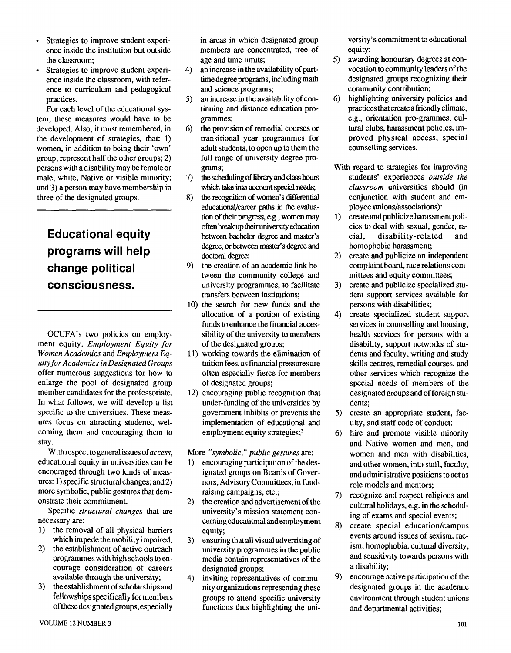- Strategies to improve student experience inside the institution but outside the classroom;
- Strategies to improve student experience inside the classroom, with reference to curriculum and pedagogical practices.

For each level of the educational system, these measures would have to be developed. Also, it must remembered, in the development of strategies, that: 1) women, in addition to being their 'own' group, represent half the other groups; 2) persons with a disability may be female or male, white, Native or visible minority; and 3) a person may have membership in three of the designated groups.

# **Educational equity programs will help change political consciousness.**

OCUFA's two policies on employment equity, *Employment Equity for Women Academics* and *Employment Equity for Academics in Designated Groups*  offer numerous suggestions for how to enlarge the pool of designated group member candidates for the professoriate. In what follows, we will develop a list specific to the universities. These measures focus on attracting students, welcoming them and encouraging them to stay.

With respect togeneral issues of *access,*  educational equity in universities can be encouraged through two kinds of measures: 1) specific structural changes; and2) more symbolic, public gestures that demonstrate their commitment.

Specific *structural changes* that are necessary are:

- 1) the removal of all physical barriers which impede the mobility impaired;
- 2) the establishment of active outreach programmes with high schools to encourage consideration of careers available through the university;
- 3) the establishment of scholarshipsand fellowships specifically for members of these designated groups, especially

in areas in which designated group members are concentrated, free of age and time limits;

- 4) an increase in the availability of parttime degree programs, including math and science programs;
- 5) an increase in the availability of continuing and distance education programmes;
- 6) the provision of remedial courses or transitional year programmes for adult students, to open up to them the full range of university degree programs;
- 7) the scheduling of library and class hours which take into account special needs;
- 8) the recognition of women's differential educational/career paths in the evaluation of their progress, e.g., women may often break up **theii** university **education**  between bachelor degree and master's degree, **or** between master's **degree** and doctoral **degree;**
- 9) the creation of an academic link between the community college and university programmes, to facilitate transfers between institutions;
- 10) the search for new funds and the allocation of a portion of existing funds to enhance the financial accessibility of the university to members of the designated groups;
- 1 1) working towards the elimination of tuition fees, as financial pressures are often especially fierce for members of designated groups;
- 12) encouraging public recognition that under-funding of the universities by government inhibits or prevents the implementation of educational and employment equity strategies; $<sup>3</sup>$ </sup>

More *"symbolic," public gestures* are:

- 1) encouraging participation of the designated groups on Boards of Governors, Advisory Committees, in fundraising campaigns, etc.;
- 2) the creation and advertisement of the university's mission statement concerning educational andemployment equity;
- 3) ensuring that all visual advertising of university programmes in the public media contain representatives of the designated groups;
- 4) inviting representatives of community organizations representing **these**  groups to attend specific university functions thus highlighting the uni-

versity's commitment to educational equity;

- 5) awarding honourary degrees at convocation to community leaders of the designated groups recognizing their community contribution;
- 6) highlighting university policies and practices that create a friendly climate, e.g., orientation pro-grammes, cultural clubs, harassment policies, improved physical access, special counselling services.
- With regard to strategies for improving students' experiences *outside the classroom* universities should (in conjunction with student and employee unions/associations):
- create and publicize harassmentpoli- $1)$ cies to deal with sexual, gender, racial, disability -related and homophobic harassment;
- create and publicize an independent  $2)$ complaint board, race relations committees and equity committees;
- create and publicize specialized stu- $3)$ dent support services available for persons with disabilities;
- $4)$ create specialized student support services in counselling and housing, health services for persons with a disability, support networks of students and faculty, writing and study skills centres, remedial courses, and other services which recognize the special needs of members of the designated groups and of foreign students;
- 5) create an appropriate student, faculty, and staff code of conduct;
- hire and promote visible minority and Native women and men, and women and men with disabilities, and other women, into staff, faculty, and administrative positions to act as role models and mentors;
- 7) recognize and respect religious and cultural holidays, e.g. in the scheduling of exams and special events;
- 8) create special education/campus events around issues of sexism, racism, homophobia, cultural diversity, and sensitivity towards persons with a disability;
- 9) encourage active participation of the designated groups in **the academic**  environment through student unions and departmental activities;